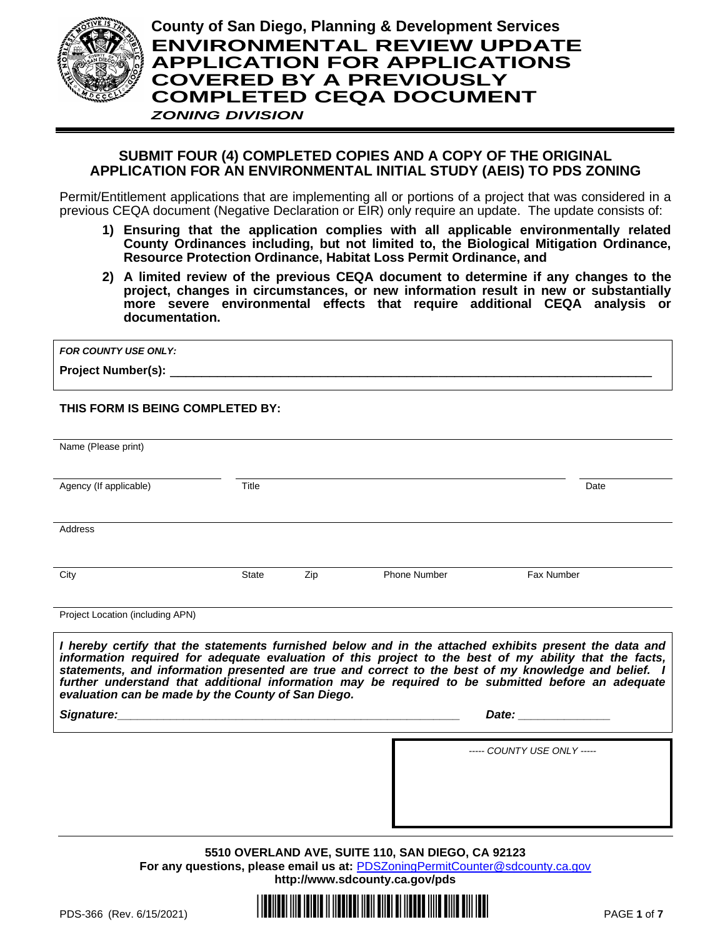

# **SUBMIT FOUR (4) COMPLETED COPIES AND A COPY OF THE ORIGINAL APPLICATION FOR AN ENVIRONMENTAL INITIAL STUDY (AEIS) TO PDS ZONING**

Permit/Entitlement applications that are implementing all or portions of a project that was considered in a previous CEQA document (Negative Declaration or EIR) only require an update. The update consists of:

- **1) Ensuring that the application complies with all applicable environmentally related County Ordinances including, but not limited to, the Biological Mitigation Ordinance, Resource Protection Ordinance, Habitat Loss Permit Ordinance, and**
- **2) A limited review of the previous CEQA document to determine if any changes to the project, changes in circumstances, or new information result in new or substantially more severe environmental effects that require additional CEQA analysis or documentation.**

| <b>FOR COUNTY USE ONLY:</b> |  |
|-----------------------------|--|
| <b>Project Number(s):</b>   |  |

**THIS FORM IS BEING COMPLETED BY:**

| Name (Please print)                                |       |     |                     |                                                                                                                                                                                                                                                                                                                                                                                                                                                                                                                                                       |
|----------------------------------------------------|-------|-----|---------------------|-------------------------------------------------------------------------------------------------------------------------------------------------------------------------------------------------------------------------------------------------------------------------------------------------------------------------------------------------------------------------------------------------------------------------------------------------------------------------------------------------------------------------------------------------------|
|                                                    |       |     |                     |                                                                                                                                                                                                                                                                                                                                                                                                                                                                                                                                                       |
|                                                    |       |     |                     |                                                                                                                                                                                                                                                                                                                                                                                                                                                                                                                                                       |
| Agency (If applicable)                             | Title |     |                     | Date                                                                                                                                                                                                                                                                                                                                                                                                                                                                                                                                                  |
|                                                    |       |     |                     |                                                                                                                                                                                                                                                                                                                                                                                                                                                                                                                                                       |
| Address                                            |       |     |                     |                                                                                                                                                                                                                                                                                                                                                                                                                                                                                                                                                       |
|                                                    |       |     |                     |                                                                                                                                                                                                                                                                                                                                                                                                                                                                                                                                                       |
|                                                    |       |     |                     |                                                                                                                                                                                                                                                                                                                                                                                                                                                                                                                                                       |
| City                                               | State | Zip | <b>Phone Number</b> | Fax Number                                                                                                                                                                                                                                                                                                                                                                                                                                                                                                                                            |
|                                                    |       |     |                     |                                                                                                                                                                                                                                                                                                                                                                                                                                                                                                                                                       |
| Project Location (including APN)                   |       |     |                     |                                                                                                                                                                                                                                                                                                                                                                                                                                                                                                                                                       |
|                                                    |       |     |                     | I hereby certify that the statements furnished below and in the attached exhibits present the data and                                                                                                                                                                                                                                                                                                                                                                                                                                                |
| evaluation can be made by the County of San Diego. |       |     |                     | information required for adequate evaluation of this project to the best of my ability that the facts,<br>statements, and information presented are true and correct to the best of my knowledge and belief. I<br>further understand that additional information may be required to be submitted before an adequate<br>Date: the contract of the contract of the contract of the contract of the contract of the contract of the contract of the contract of the contract of the contract of the contract of the contract of the contract of the cont |
|                                                    |       |     |                     | ----- COUNTY USE ONLY -----                                                                                                                                                                                                                                                                                                                                                                                                                                                                                                                           |

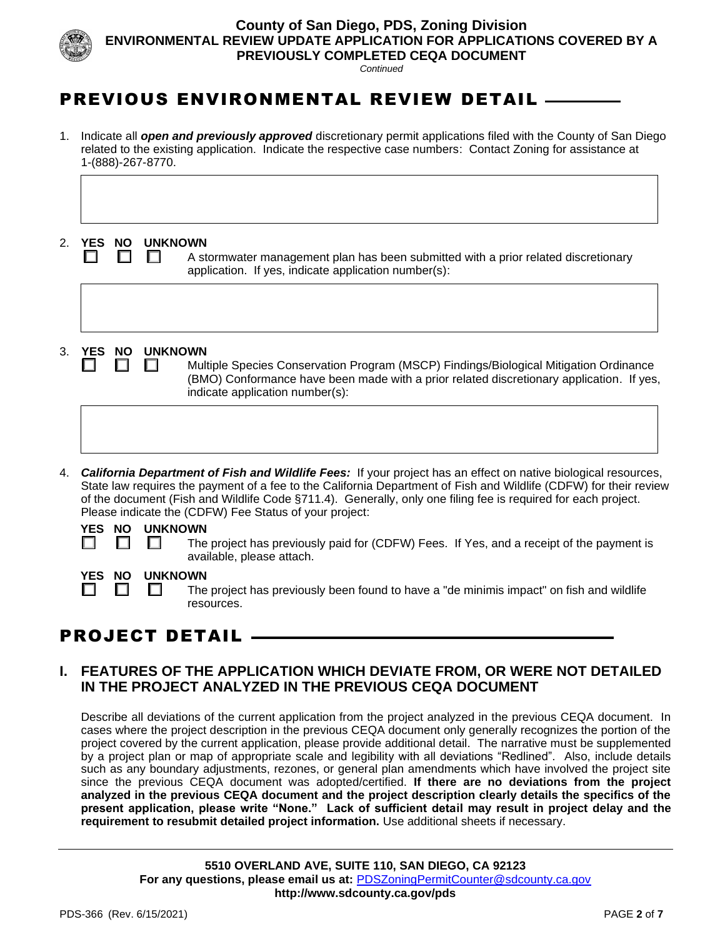

**County of San Diego, PDS, Zoning Division ENVIRONMENTAL REVIEW UPDATE APPLICATION FOR APPLICATIONS COVERED BY A PREVIOUSLY COMPLETED CEQA DOCUMENT** 

*Continued*

# PREVIOUS ENVIRONMENTAL REVIEW DETAIL

1. Indicate all *open and previously approved* discretionary permit applications filed with the County of San Diego related to the existing application. Indicate the respective case numbers: Contact Zoning for assistance at 1-(888)-267-8770.

### 2. **YES NO UNKNOWN**

 $\Box$   $\Box$  A stormwater management plan has been submitted with a prior related discretionary application. If yes, indicate application number(s):

### 3. **YES NO UNKNOWN**

 $\Box$  Multiple Species Conservation Program (MSCP) Findings/Biological Mitigation Ordinance (BMO) Conformance have been made with a prior related discretionary application. If yes, indicate application number(s):

4. *California Department of Fish and Wildlife Fees:* If your project has an effect on native biological resources, State law requires the payment of a fee to the California Department of Fish and Wildlife (CDFW) for their review of the document (Fish and Wildlife Code §711.4). Generally, only one filing fee is required for each project. Please indicate the (CDFW) Fee Status of your project:

|  | YES NO UNKNOWN |
|--|----------------|
|  |                |



 $\Box$   $\Box$  The project has previously paid for (CDFW) Fees. If Yes, and a receipt of the payment is available, please attach.

# **YES NO UNKNOWN**

 $\Box$   $\Box$  The project has previously been found to have a "de minimis impact" on fish and wildlife resources.

# PROJECT DETAIL

# **I. FEATURES OF THE APPLICATION WHICH DEVIATE FROM, OR WERE NOT DETAILED IN THE PROJECT ANALYZED IN THE PREVIOUS CEQA DOCUMENT**

Describe all deviations of the current application from the project analyzed in the previous CEQA document. In cases where the project description in the previous CEQA document only generally recognizes the portion of the project covered by the current application, please provide additional detail. The narrative must be supplemented by a project plan or map of appropriate scale and legibility with all deviations "Redlined". Also, include details such as any boundary adjustments, rezones, or general plan amendments which have involved the project site since the previous CEQA document was adopted/certified. **If there are no deviations from the project analyzed in the previous CEQA document and the project description clearly details the specifics of the present application, please write "None." Lack of sufficient detail may result in project delay and the requirement to resubmit detailed project information.** Use additional sheets if necessary.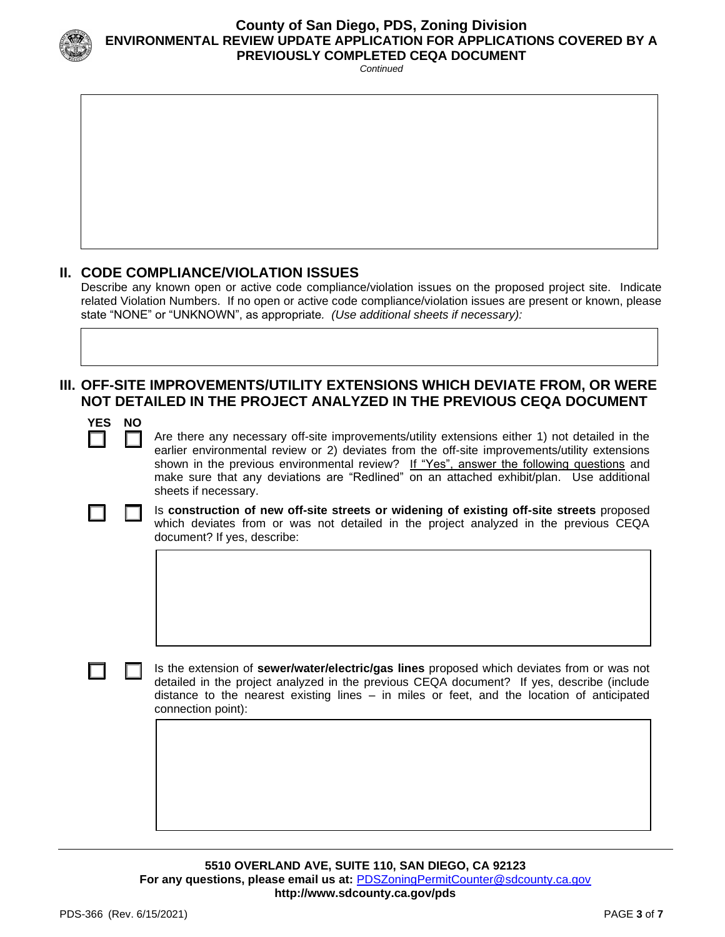

### **County of San Diego, PDS, Zoning Division ENVIRONMENTAL REVIEW UPDATE APPLICATION FOR APPLICATIONS COVERED BY A PREVIOUSLY COMPLETED CEQA DOCUMENT**

*Continued*

# **II. CODE COMPLIANCE/VIOLATION ISSUES**

Describe any known open or active code compliance/violation issues on the proposed project site. Indicate related Violation Numbers. If no open or active code compliance/violation issues are present or known, please state "NONE" or "UNKNOWN", as appropriate*. (Use additional sheets if necessary):*

# **III. OFF-SITE IMPROVEMENTS/UTILITY EXTENSIONS WHICH DEVIATE FROM, OR WERE NOT DETAILED IN THE PROJECT ANALYZED IN THE PREVIOUS CEQA DOCUMENT**

| ν<br>NO<br>I | ١ |
|--------------|---|
|--------------|---|

Are there any necessary off-site improvements/utility extensions either 1) not detailed in the earlier environmental review or 2) deviates from the off-site improvements/utility extensions shown in the previous environmental review? If "Yes", answer the following questions and make sure that any deviations are "Redlined" on an attached exhibit/plan. Use additional sheets if necessary.



Is **construction of new off-site streets or widening of existing off-site streets** proposed which deviates from or was not detailed in the project analyzed in the previous CEQA document? If yes, describe:



Is the extension of **sewer/water/electric/gas lines** proposed which deviates from or was not detailed in the project analyzed in the previous CEQA document? If yes, describe (include distance to the nearest existing lines – in miles or feet, and the location of anticipated connection point):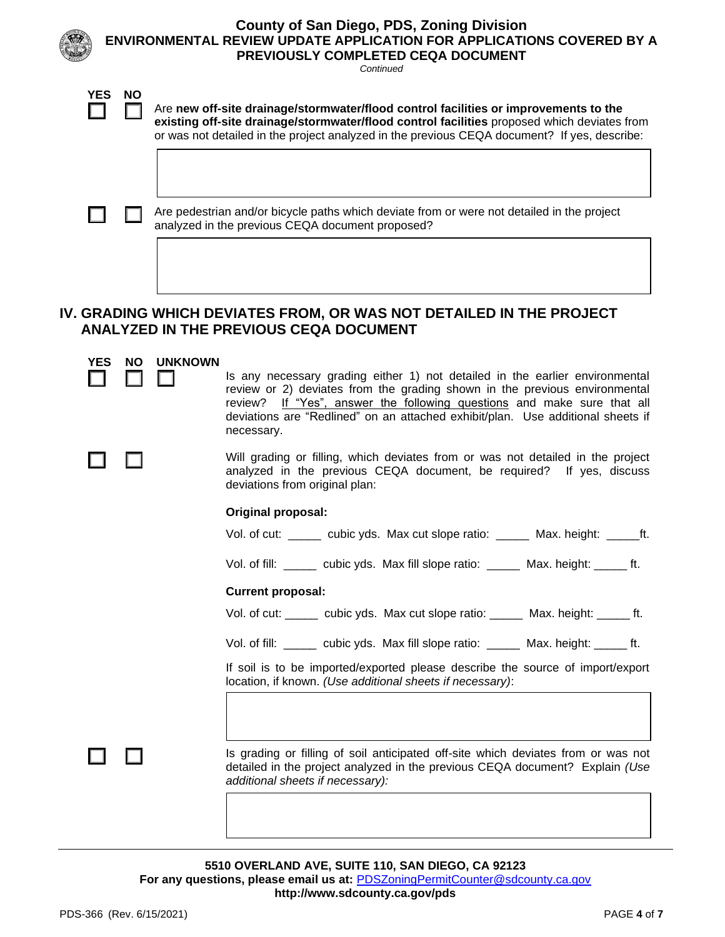|            | <b>County of San Diego, PDS, Zoning Division</b><br>ENVIRONMENTAL REVIEW UPDATE APPLICATION FOR APPLICATIONS COVERED BY A<br>PREVIOUSLY COMPLETED CEQA DOCUMENT<br>Continued |                |                                                                                                                                                                                                                                                                                                                                        |  |  |  |  |  |
|------------|------------------------------------------------------------------------------------------------------------------------------------------------------------------------------|----------------|----------------------------------------------------------------------------------------------------------------------------------------------------------------------------------------------------------------------------------------------------------------------------------------------------------------------------------------|--|--|--|--|--|
| <b>YES</b> | <b>NO</b>                                                                                                                                                                    |                | Are new off-site drainage/stormwater/flood control facilities or improvements to the<br>existing off-site drainage/stormwater/flood control facilities proposed which deviates from<br>or was not detailed in the project analyzed in the previous CEQA document? If yes, describe:                                                    |  |  |  |  |  |
|            |                                                                                                                                                                              |                | Are pedestrian and/or bicycle paths which deviate from or were not detailed in the project<br>analyzed in the previous CEQA document proposed?                                                                                                                                                                                         |  |  |  |  |  |
|            | IV. GRADING WHICH DEVIATES FROM, OR WAS NOT DETAILED IN THE PROJECT<br><b>ANALYZED IN THE PREVIOUS CEQA DOCUMENT</b>                                                         |                |                                                                                                                                                                                                                                                                                                                                        |  |  |  |  |  |
| <b>YES</b> | NO.                                                                                                                                                                          | <b>UNKNOWN</b> | Is any necessary grading either 1) not detailed in the earlier environmental<br>review or 2) deviates from the grading shown in the previous environmental<br>review? If "Yes", answer the following questions and make sure that all<br>deviations are "Redlined" on an attached exhibit/plan. Use additional sheets if<br>necessary. |  |  |  |  |  |
|            |                                                                                                                                                                              |                | Will grading or filling, which deviates from or was not detailed in the project<br>analyzed in the previous CEQA document, be required? If yes, discuss<br>deviations from original plan:                                                                                                                                              |  |  |  |  |  |

### **Original proposal:**

| Vol. of cut: | cubic yds. Max cut slope ratio: | Max. height: |  |
|--------------|---------------------------------|--------------|--|
|              |                                 |              |  |

Vol. of fill: \_\_\_\_\_ cubic yds. Max fill slope ratio: \_\_\_\_\_ Max. height: \_\_\_\_\_ ft.

### **Current proposal:**

Vol. of cut: \_\_\_\_\_ cubic yds. Max cut slope ratio: \_\_\_\_\_ Max. height: \_\_\_\_\_ ft.

Vol. of fill: \_\_\_\_\_ cubic yds. Max fill slope ratio: \_\_\_\_\_ Max. height: \_\_\_\_\_ ft.

If soil is to be imported/exported please describe the source of import/export location, if known. *(Use additional sheets if necessary)*:

Is grading or filling of soil anticipated off-site which deviates from or was not detailed in the project analyzed in the previous CEQA document? Explain *(Use additional sheets if necessary):*

**5510 OVERLAND AVE, SUITE 110, SAN DIEGO, CA 92123 For any questions, please email us at:** [PDSZoningPermitCounter@sdcounty.ca.gov](mailto:PDSZoningPermitCounter@sdcounty.ca.gov) **<http://www.sdcounty.ca.gov/pds>**

П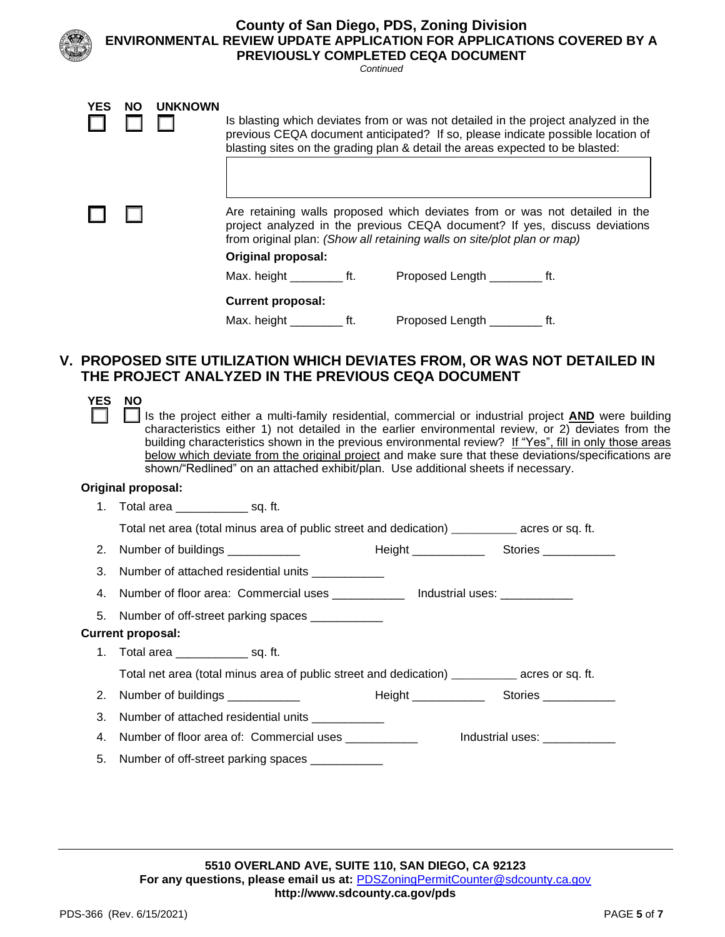|            |           |                |                            | Continued | <b>County of San Diego, PDS, Zoning Division</b><br>PREVIOUSLY COMPLETED CEQA DOCUMENT                                                                                                                                                                 | <b>ENVIRONMENTAL REVIEW UPDATE APPLICATION FOR APPLICATIONS COVERED BY A</b> |
|------------|-----------|----------------|----------------------------|-----------|--------------------------------------------------------------------------------------------------------------------------------------------------------------------------------------------------------------------------------------------------------|------------------------------------------------------------------------------|
| <b>YES</b> | <b>NO</b> | <b>UNKNOWN</b> |                            |           | Is blasting which deviates from or was not detailed in the project analyzed in the<br>previous CEQA document anticipated? If so, please indicate possible location of<br>blasting sites on the grading plan & detail the areas expected to be blasted: |                                                                              |
|            |           |                | <b>Original proposal:</b>  |           | Are retaining walls proposed which deviates from or was not detailed in the<br>project analyzed in the previous CEQA document? If yes, discuss deviations<br>from original plan: (Show all retaining walls on site/plot plan or map)                   |                                                                              |
|            |           |                | <b>Current proposal:</b>   |           | Max. height ___________ ft. Proposed Length ___________ ft.                                                                                                                                                                                            |                                                                              |
|            |           |                | Max. height __________ ft. |           | Proposed Length ___________ ft.<br>THE PROJECT ANALYZED IN THE PREVIOUS CEQA DOCUMENT                                                                                                                                                                  | V. PROPOSED SITE UTILIZATION WHICH DEVIATES FROM, OR WAS NOT DETAILED IN     |

| YES | <b>NO</b><br>Is the project either a multi-family residential, commercial or industrial project <b>AND</b> were building<br>characteristics either 1) not detailed in the earlier environmental review, or 2) deviates from the<br>building characteristics shown in the previous environmental review? If "Yes", fill in only those areas<br>below which deviate from the original project and make sure that these deviations/specifications are<br>shown/"Redlined" on an attached exhibit/plan. Use additional sheets if necessary. |  |  |  |  |  |  |
|-----|-----------------------------------------------------------------------------------------------------------------------------------------------------------------------------------------------------------------------------------------------------------------------------------------------------------------------------------------------------------------------------------------------------------------------------------------------------------------------------------------------------------------------------------------|--|--|--|--|--|--|
|     | <b>Original proposal:</b>                                                                                                                                                                                                                                                                                                                                                                                                                                                                                                               |  |  |  |  |  |  |
|     | 1. Total area ___________________ sq. ft.                                                                                                                                                                                                                                                                                                                                                                                                                                                                                               |  |  |  |  |  |  |
|     | Total net area (total minus area of public street and dedication) ____________ acres or sq. ft.                                                                                                                                                                                                                                                                                                                                                                                                                                         |  |  |  |  |  |  |
|     |                                                                                                                                                                                                                                                                                                                                                                                                                                                                                                                                         |  |  |  |  |  |  |
| 3.  | Number of attached residential units ____________                                                                                                                                                                                                                                                                                                                                                                                                                                                                                       |  |  |  |  |  |  |
| 4.  | Number of floor area: Commercial uses _____________ Industrial uses: ___________                                                                                                                                                                                                                                                                                                                                                                                                                                                        |  |  |  |  |  |  |
| 5.  | Number of off-street parking spaces _____________                                                                                                                                                                                                                                                                                                                                                                                                                                                                                       |  |  |  |  |  |  |
|     | <b>Current proposal:</b>                                                                                                                                                                                                                                                                                                                                                                                                                                                                                                                |  |  |  |  |  |  |
|     | 1. Total area _______________ sq. ft.                                                                                                                                                                                                                                                                                                                                                                                                                                                                                                   |  |  |  |  |  |  |
|     | Total net area (total minus area of public street and dedication) ____________ acres or sq. ft.                                                                                                                                                                                                                                                                                                                                                                                                                                         |  |  |  |  |  |  |
|     |                                                                                                                                                                                                                                                                                                                                                                                                                                                                                                                                         |  |  |  |  |  |  |
| 3.  | Number of attached residential units ___________                                                                                                                                                                                                                                                                                                                                                                                                                                                                                        |  |  |  |  |  |  |
| 4.  | Number of floor area of: Commercial uses<br>Industrial uses: The Contract of the Contract of the Contract of the Contract of the Contract of the Contract o                                                                                                                                                                                                                                                                                                                                                                             |  |  |  |  |  |  |
| 5.  | Number of off-street parking spaces ___________                                                                                                                                                                                                                                                                                                                                                                                                                                                                                         |  |  |  |  |  |  |
|     |                                                                                                                                                                                                                                                                                                                                                                                                                                                                                                                                         |  |  |  |  |  |  |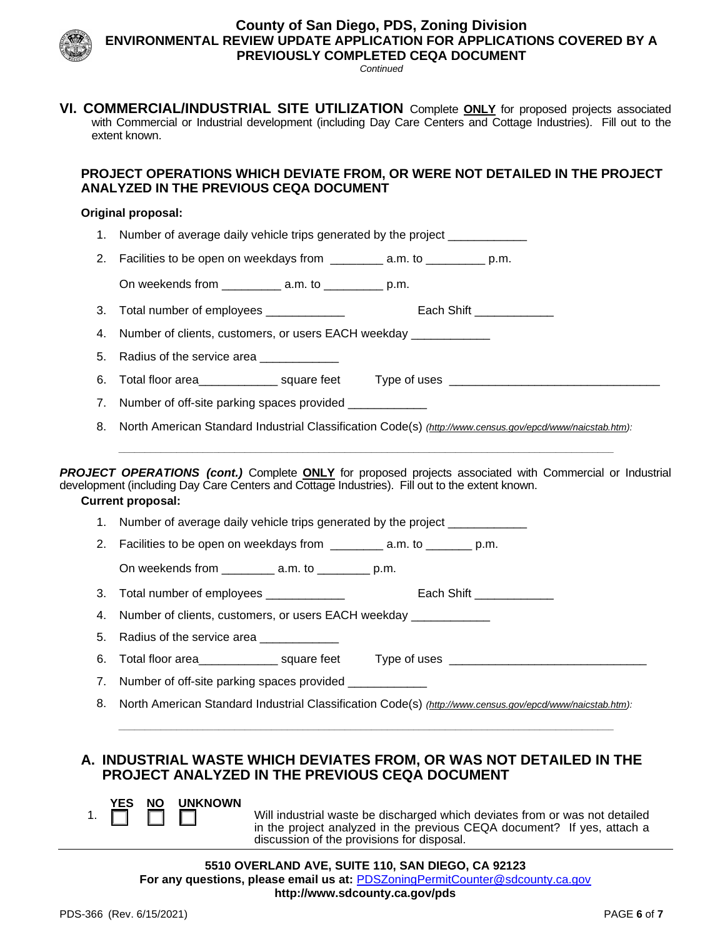

# **County of San Diego, PDS, Zoning Division ENVIRONMENTAL REVIEW UPDATE APPLICATION FOR APPLICATIONS COVERED BY A PREVIOUSLY COMPLETED CEQA DOCUMENT**

*Continued*

**VI. COMMERCIAL/INDUSTRIAL SITE UTILIZATION** Complete **ONLY** for proposed projects associated with Commercial or Industrial development (including Day Care Centers and Cottage Industries). Fill out to the extent known.

# **PROJECT OPERATIONS WHICH DEVIATE FROM, OR WERE NOT DETAILED IN THE PROJECT ANALYZED IN THE PREVIOUS CEQA DOCUMENT**

#### **Original proposal:**

- 1. Number of average daily vehicle trips generated by the project \_\_\_\_\_\_\_\_\_\_\_\_\_\_
- 2. Facilities to be open on weekdays from \_\_\_\_\_\_\_\_ a.m. to \_\_\_\_\_\_\_\_\_ p.m.
	- On weekends from \_\_\_\_\_\_\_\_\_ a.m. to \_\_\_\_\_\_\_\_\_ p.m.
- 3. Total number of employees **Each Shift** Each Shift **Each Shift** 2014

4. Number of clients, customers, or users EACH weekday

- 5. Radius of the service area \_\_\_\_\_\_\_\_\_\_\_
- 6. Total floor area \_\_\_\_\_\_\_\_\_\_\_\_ square feet Type of uses \_\_\_\_\_\_\_\_\_\_\_\_\_\_\_\_\_\_\_\_\_\_
- 7. Number of off-site parking spaces provided \_\_\_\_\_\_\_\_\_\_\_\_\_
- 8. North American Standard Industrial Classification Code(s) *[\(http://www.census.gov/epcd/www/naicstab.htm\)](http://www.census.gov/epcd/www/naicstab.htm): \_\_\_\_\_\_\_\_\_\_\_\_\_\_\_\_\_\_\_\_\_\_\_\_\_\_\_\_\_\_\_\_\_\_\_\_\_\_\_\_\_\_\_\_\_\_\_\_\_\_\_\_\_\_\_\_\_\_\_\_\_\_\_\_\_\_\_\_\_\_\_\_\_\_\_\_\_\_\_\_\_\_\_\_\_\_\_\_\_\_\_\_\_\_*

*PROJECT OPERATIONS (cont.)* Complete **ONLY** for proposed projects associated with Commercial or Industrial development (including Day Care Centers and Cottage Industries). Fill out to the extent known.

#### **Current proposal:**

- 1. Number of average daily vehicle trips generated by the project
- 2. Facilities to be open on weekdays from \_\_\_\_\_\_\_\_ a.m. to \_\_\_\_\_\_\_ p.m.
	- On weekends from \_\_\_\_\_\_\_\_ a.m. to \_\_\_\_\_\_\_\_\_ p.m.
- 3. Total number of employees **Each Shift Legation** Each Shift  $\overline{\phantom{a}}$

4. Number of clients, customers, or users EACH weekday

- 5. Radius of the service area \_\_\_\_
- 6. Total floor area example are square feet Type of uses  $\overline{a}$

7. Number of off-site parking spaces provided

8. North American Standard Industrial Classification Code(s) *[\(http://www.census.gov/epcd/www/naicstab.htm\)](http://www.census.gov/epcd/www/naicstab.htm): \_\_\_\_\_\_\_\_\_\_\_\_\_\_\_\_\_\_\_\_\_\_\_\_\_\_\_\_\_\_\_\_\_\_\_\_\_\_\_\_\_\_\_\_\_\_\_\_\_\_\_\_\_\_\_\_\_\_\_\_\_\_\_\_\_\_\_\_\_\_\_\_\_\_\_\_\_\_\_\_\_\_\_\_\_\_\_\_\_\_\_\_\_\_*

# **A. INDUSTRIAL WASTE WHICH DEVIATES FROM, OR WAS NOT DETAILED IN THE PROJECT ANALYZED IN THE PREVIOUS CEQA DOCUMENT**



1.  $\Box$   $\Box$   $\Box$  Will industrial waste be discharged which deviates from or was not detailed in the project analyzed in the previous CEQA document? If yes, attach a discussion of the provisions for disposal.

**5510 OVERLAND AVE, SUITE 110, SAN DIEGO, CA 92123 For any questions, please email us at:** [PDSZoningPermitCounter@sdcounty.ca.gov](mailto:PDSZoningPermitCounter@sdcounty.ca.gov) **<http://www.sdcounty.ca.gov/pds>**